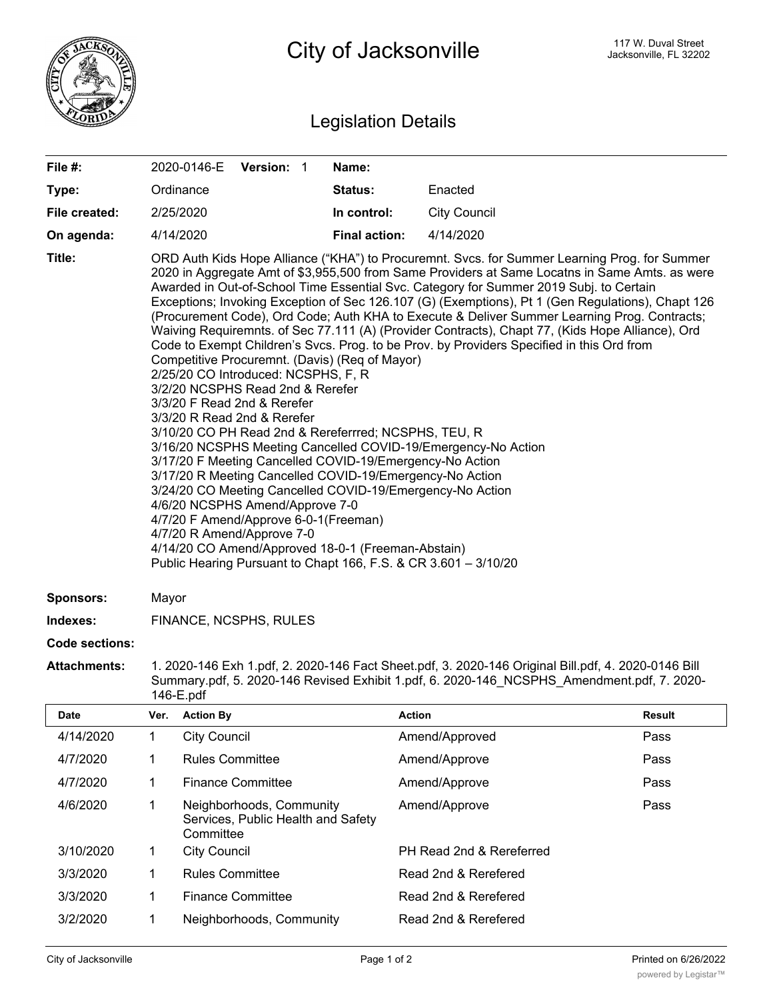

## Legislation Details

| File $#$ :    | 2020-0146-E Version: 1                                                                                                                                                                                                                                                                                                                                                                                                                                                                                                                                                                                                                                                                                                                                                                                                                                                                                                                                                                                                                                                                                                                                                                                                                                                                                                                                                                                                                      |  |  | Name:                |                     |
|---------------|---------------------------------------------------------------------------------------------------------------------------------------------------------------------------------------------------------------------------------------------------------------------------------------------------------------------------------------------------------------------------------------------------------------------------------------------------------------------------------------------------------------------------------------------------------------------------------------------------------------------------------------------------------------------------------------------------------------------------------------------------------------------------------------------------------------------------------------------------------------------------------------------------------------------------------------------------------------------------------------------------------------------------------------------------------------------------------------------------------------------------------------------------------------------------------------------------------------------------------------------------------------------------------------------------------------------------------------------------------------------------------------------------------------------------------------------|--|--|----------------------|---------------------|
| Type:         | Ordinance                                                                                                                                                                                                                                                                                                                                                                                                                                                                                                                                                                                                                                                                                                                                                                                                                                                                                                                                                                                                                                                                                                                                                                                                                                                                                                                                                                                                                                   |  |  | Status:              | Enacted             |
| File created: | 2/25/2020                                                                                                                                                                                                                                                                                                                                                                                                                                                                                                                                                                                                                                                                                                                                                                                                                                                                                                                                                                                                                                                                                                                                                                                                                                                                                                                                                                                                                                   |  |  | In control:          | <b>City Council</b> |
| On agenda:    | 4/14/2020                                                                                                                                                                                                                                                                                                                                                                                                                                                                                                                                                                                                                                                                                                                                                                                                                                                                                                                                                                                                                                                                                                                                                                                                                                                                                                                                                                                                                                   |  |  | <b>Final action:</b> | 4/14/2020           |
| Title:        | ORD Auth Kids Hope Alliance ("KHA") to Procuremnt. Svcs. for Summer Learning Prog. for Summer<br>2020 in Aggregate Amt of \$3,955,500 from Same Providers at Same Locatns in Same Amts. as were<br>Awarded in Out-of-School Time Essential Svc. Category for Summer 2019 Subj. to Certain<br>Exceptions; Invoking Exception of Sec 126.107 (G) (Exemptions), Pt 1 (Gen Regulations), Chapt 126<br>(Procurement Code), Ord Code; Auth KHA to Execute & Deliver Summer Learning Prog. Contracts;<br>Waiving Requiremnts. of Sec 77.111 (A) (Provider Contracts), Chapt 77, (Kids Hope Alliance), Ord<br>Code to Exempt Children's Svcs. Prog. to be Prov. by Providers Specified in this Ord from<br>Competitive Procuremnt. (Davis) (Req of Mayor)<br>2/25/20 CO Introduced: NCSPHS, F, R<br>3/2/20 NCSPHS Read 2nd & Rerefer<br>3/3/20 F Read 2nd & Rerefer<br>3/3/20 R Read 2nd & Rerefer<br>3/10/20 CO PH Read 2nd & Rereferrred; NCSPHS, TEU, R<br>3/16/20 NCSPHS Meeting Cancelled COVID-19/Emergency-No Action<br>3/17/20 F Meeting Cancelled COVID-19/Emergency-No Action<br>3/17/20 R Meeting Cancelled COVID-19/Emergency-No Action<br>3/24/20 CO Meeting Cancelled COVID-19/Emergency-No Action<br>4/6/20 NCSPHS Amend/Approve 7-0<br>4/7/20 F Amend/Approve 6-0-1(Freeman)<br>4/7/20 R Amend/Approve 7-0<br>4/14/20 CO Amend/Approved 18-0-1 (Freeman-Abstain)<br>Public Hearing Pursuant to Chapt 166, F.S. & CR 3.601 - 3/10/20 |  |  |                      |                     |

## **Sponsors:** Mayor

**Indexes:** FINANCE, NCSPHS, RULES

<u>Committee (Committee)</u>

## **Code sections:**

**Attachments:** 1. 2020-146 Exh 1.pdf, 2. 2020-146 Fact Sheet.pdf, 3. 2020-146 Original Bill.pdf, 4. 2020-0146 Bill Summary.pdf, 5. 2020-146 Revised Exhibit 1.pdf, 6. 2020-146\_NCSPHS\_Amendment.pdf, 7. 2020- 146-E.pdf

| <b>Date</b> | Ver. | <b>Action By</b>                                                            | <b>Action</b>            | <b>Result</b> |
|-------------|------|-----------------------------------------------------------------------------|--------------------------|---------------|
| 4/14/2020   |      | <b>City Council</b>                                                         | Amend/Approved           | Pass          |
| 4/7/2020    |      | <b>Rules Committee</b>                                                      | Amend/Approve            | Pass          |
| 4/7/2020    |      | <b>Finance Committee</b>                                                    | Amend/Approve            | Pass          |
| 4/6/2020    | 1    | Neighborhoods, Community<br>Services, Public Health and Safety<br>Committee | Amend/Approve            | Pass          |
| 3/10/2020   | 1    | <b>City Council</b>                                                         | PH Read 2nd & Rereferred |               |
| 3/3/2020    | 1    | <b>Rules Committee</b>                                                      | Read 2nd & Rerefered     |               |
| 3/3/2020    |      | <b>Finance Committee</b>                                                    | Read 2nd & Rerefered     |               |
| 3/2/2020    | 1    | Neighborhoods, Community                                                    | Read 2nd & Rerefered     |               |